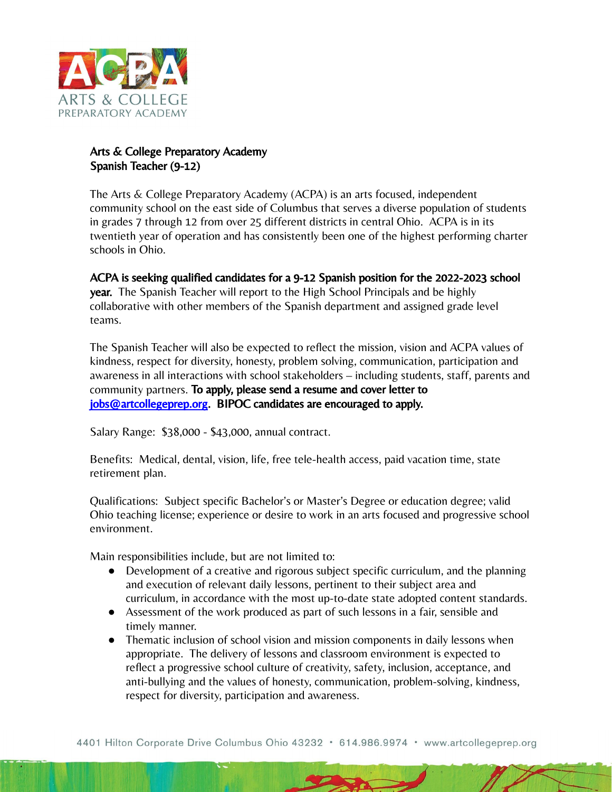

## Arts & College Preparatory Academy Spanish Teacher (9-12)

The Arts & College Preparatory Academy (ACPA) is an arts focused, independent community school on the east side of Columbus that serves a diverse population of students in grades 7 through 12 from over 25 different districts in central Ohio. ACPA is in its twentieth year of operation and has consistently been one of the highest performing charter schools in Ohio.

ACPA is seeking qualified candidates for a 9-12 Spanish position for the 2022-2023 school year. The Spanish Teacher will report to the High School Principals and be highly collaborative with other members of the Spanish department and assigned grade level teams.

The Spanish Teacher will also be expected to reflect the mission, vision and ACPA values of kindness, respect for diversity, honesty, problem solving, communication, participation and awareness in all interactions with school stakeholders – including students, staff, parents and community partners. To apply, please send a resume and cover letter to [jobs@artcollegeprep.org.](mailto:jobs@artcollegeprep.org) BIPOC candidates are encouraged to apply.

Salary Range: \$38,000 - \$43,000, annual contract.

Benefits: Medical, dental, vision, life, free tele-health access, paid vacation time, state retirement plan.

Qualifications: Subject specific Bachelor's or Master's Degree or education degree; valid Ohio teaching license; experience or desire to work in an arts focused and progressive school environment.

Main responsibilities include, but are not limited to:

- Development of a creative and rigorous subject specific curriculum, and the planning and execution of relevant daily lessons, pertinent to their subject area and curriculum, in accordance with the most up-to-date state adopted content standards.
- Assessment of the work produced as part of such lessons in a fair, sensible and timely manner.
- Thematic inclusion of school vision and mission components in daily lessons when appropriate. The delivery of lessons and classroom environment is expected to reflect a progressive school culture of creativity, safety, inclusion, acceptance, and anti-bullying and the values of honesty, communication, problem-solving, kindness, respect for diversity, participation and awareness.